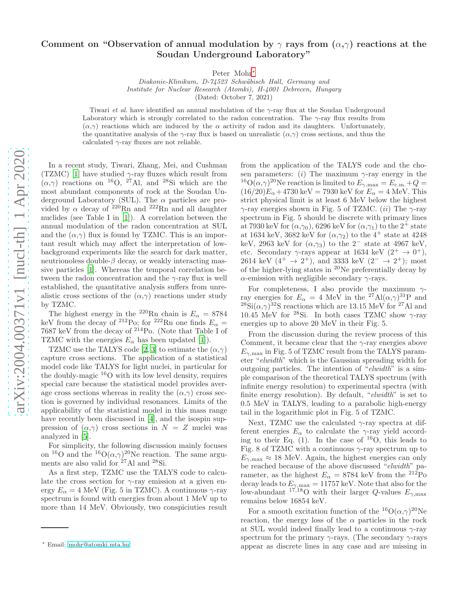## Comment on "Observation of annual modulation by  $\gamma$  rays from  $(\alpha, \gamma)$  reactions at the Soudan Underground Laboratory"

Peter Mohr[∗](#page-0-0)

*Diakonie-Klinikum, D-74523 Schw¨abisch Hall, Germany and Institute for Nuclear Research (Atomki), H-4001 Debrecen, Hungary* (Dated: October 7, 2021)

Tiwari *et al.* have identified an annual modulation of the  $\gamma$ -ray flux at the Soudan Underground Laboratory which is strongly correlated to the radon concentration. The  $\gamma$ -ray flux results from  $(\alpha, \gamma)$  reactions which are induced by the  $\alpha$  activity of radon and its daughters. Unfortunately, the quantitative analysis of the  $\gamma$ -ray flux is based on unrealistic  $(\alpha, \gamma)$  cross sections, and thus the calculated  $\gamma$ -ray fluxes are not reliable.

In a recent study, Tiwari, Zhang, Mei, and Cushman (TZMC) [\[1\]](#page-1-0) have studied  $\gamma$ -ray fluxes which result from  $(\alpha, \gamma)$  reactions on <sup>16</sup>O, <sup>27</sup>Al, and <sup>28</sup>Si which are the most abundant components of rock at the Soudan Underground Laboratory (SUL). The  $\alpha$  particles are provided by  $\alpha$  decay of <sup>220</sup>Rn and <sup>222</sup>Rn and all daughter nuclides (see Table I in [\[1\]](#page-1-0)). A correlation between the annual modulation of the radon concentration at SUL and the  $(\alpha, \gamma)$  flux is found by TZMC. This is an important result which may affect the interpretation of lowbackground experiments like the search for dark matter, neutrionoless double- $\beta$  decay, or weakly interacting massive particles [\[1](#page-1-0)]. Whereas the temporal correlation between the radon concentration and the  $\gamma$ -ray flux is well established, the quantitative analysis suffers from unrealistic cross sections of the  $(\alpha, \gamma)$  reactions under study by TZMC.

The highest energy in the <sup>220</sup>Rn chain is  $E_{\alpha} = 8784$ keV from the decay of <sup>212</sup>Po; for <sup>222</sup>Rn one finds  $E_{\alpha}$  = 7687 keV from the decay of <sup>214</sup>Po. (Note that Table I of TZMC with the energies  $E_{\alpha}$  has been updated [\[1\]](#page-1-0)).

TZMC use the TALYS code [\[2,](#page-1-1) [3](#page-2-0)] to estimate the  $(\alpha, \gamma)$ capture cross sections. The application of a statistical model code like TALYS for light nuclei, in particular for the doubly-magic <sup>16</sup>O with its low level density, requires special care because the statistical model provides average cross sections whereas in reality the  $(\alpha, \gamma)$  cross section is governed by individual resonances. Limits of the applicability of the statistical model in this mass range have recently been discussed in [\[4\]](#page-2-1), and the isospin suppression of  $(\alpha, \gamma)$  cross sections in  $N = Z$  nuclei was analyzed in [\[5\]](#page-2-2).

For simplicity, the following discussion mainly focuses on <sup>16</sup>O and the <sup>16</sup>O( $\alpha$ , $\gamma$ )<sup>20</sup>Ne reaction. The same arguments are also valid for  $27$ Al and  $28$ Si.

As a first step, TZMC use the TALYS code to calculate the cross section for  $\gamma$ -ray emission at a given energy  $E_{\alpha} = 4$  MeV (Fig. 5 in TZMC). A continuous  $\gamma$ -ray spectrum is found with energies from about 1 MeV up to more than 14 MeV. Obviously, two conspiciuties result

from the application of the TALYS code and the chosen parameters: (i) The maximum  $\gamma$ -ray energy in the <sup>16</sup> $O(\alpha, \gamma)^{20}$ Ne reaction is limited to  $E_{\gamma, \text{max}} = E_{\text{c.m.}} + Q =$  $(16/20)E_\alpha + 4730 \text{ keV} = 7930 \text{ keV} \text{ for } E_\alpha = 4 \text{ MeV}.$  This strict physical limit is at least 6 MeV below the highest  $\gamma$ -ray energies shown in Fig. 5 of TZMC. (ii) The  $\gamma$ -ray spectrum in Fig. 5 should be discrete with primary lines at 7930 keV for  $(\alpha,\gamma_0)$ , 6296 keV for  $(\alpha,\gamma_1)$  to the 2<sup>+</sup> state at 1634 keV, 3682 keV for  $(\alpha, \gamma_2)$  to the 4<sup>+</sup> state at 4248 keV, 2963 keV for  $(\alpha, \gamma_3)$  to the 2<sup>-</sup> state at 4967 keV, etc. Secondary  $\gamma$ -rays appear at 1634 keV  $(2^+ \rightarrow 0^+),$ 2614 keV  $(4^+ \rightarrow 2^+)$ , and 3333 keV  $(2^- \rightarrow 2^+)$ ; most of the higher-lying states in <sup>20</sup>Ne preferentially decay by  $\alpha$ -emission with negligible secondary  $\gamma$ -rays.

For completeness, I also provide the maximum  $\gamma$ ray energies for  $E_{\alpha} = 4 \text{ MeV}$  in the <sup>27</sup>Al( $\alpha$ , $\gamma$ )<sup>31</sup>P and  $^{28}\text{Si}(\alpha,\gamma)^{32}\text{S}$  reactions which are 13.15 MeV for  $^{27}\text{Al}$  and 10.45 MeV for <sup>28</sup>Si. In both cases TZMC show  $\gamma$ -ray energies up to above 20 MeV in their Fig. 5.

From the discussion during the review process of this Comment, it became clear that the  $\gamma$ -ray energies above  $E_{\gamma,\text{max}}$  in Fig. 5 of TZMC result from the TALYS parameter "elwidth" which is the Gaussian spreading width for outgoing particles. The intention of "elwidth" is a simple comparison of the theoretical TALYS spectrum (with infinite energy resolution) to experimental spectra (with finite energy resolution). By default, "elwidth" is set to 0.5 MeV in TALYS, leading to a parabolic high-energy tail in the logarithmic plot in Fig. 5 of TZMC.

Next, TZMC use the calculated  $\gamma$ -ray spectra at different energies  $E_{\alpha}$  to calculate the  $\gamma$ -ray yield according to their Eq.  $(1)$ . In the case of <sup>16</sup>O, this leads to Fig. 8 of TZMC with a continuous  $\gamma$ -ray spectrum up to  $E_{\gamma,\text{max}} \approx 18$  MeV. Again, the highest energies can only be reached because of the above discussed "elwidth" parameter, as the highest  $E_{\alpha} = 8784 \text{ keV}$  from the  $^{212}\text{Po}$ decay leads to  $E_{\gamma,\text{max}} = 11757 \text{ keV}$ . Note that also for the low-abundant  $17,18$ O with their larger Q-values  $E_{\gamma,\text{max}}$ remains below 16854 keV.

For a smooth excitation function of the  ${}^{16}O(\alpha,\gamma){}^{20}Ne$ reaction, the energy loss of the  $\alpha$  particles in the rock at SUL would indeed finally lead to a continuous  $\gamma$ -ray spectrum for the primary  $\gamma$ -rays. (The secondary  $\gamma$ -rays appear as discrete lines in any case and are missing in

<span id="page-0-0"></span><sup>∗</sup> Email: [mohr@atomki.mta.hu](mailto:mohr@atomki.mta.hu)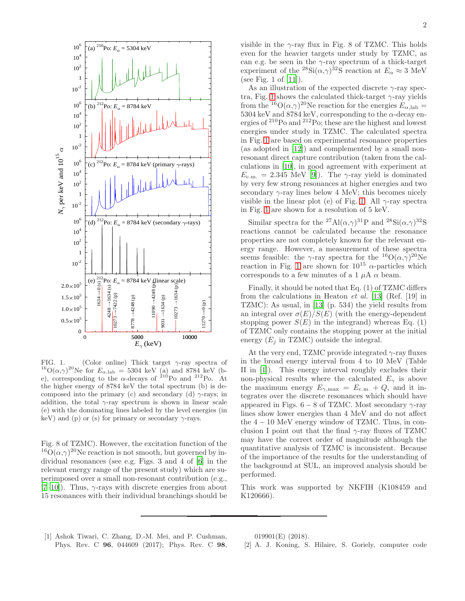

<span id="page-1-2"></span>FIG. 1. (Color online) Thick target  $\gamma$ -ray spectra of <sup>16</sup> $O(\alpha, \gamma)^{20}$ Ne for  $E_{\alpha, \text{lab}} = 5304$  keV (a) and 8784 keV (be), corresponding to the  $\alpha$ -decays of <sup>210</sup>Po and <sup>212</sup>Po. At the higher energy of 8784 keV the total spectrum (b) is decomposed into the primary (c) and secondary (d)  $\gamma$ -rays; in addition, the total  $\gamma$ -ray spectrum is shown in linear scale (e) with the dominating lines labeled by the level energies (in keV) and (p) or (s) for primary or secondary  $\gamma$ -rays.

Fig. 8 of TZMC). However, the excitation function of the  $^{16}O(\alpha,\gamma)^{20}$ Ne reaction is not smooth, but governed by individual resonances (see e.g. Figs. 3 and 4 of [\[6](#page-2-3)] in the relevant energy range of the present study) which are superimposed over a small non-resonant contribution (e.g.,  $[7-10]$  $[7-10]$ ). Thus,  $\gamma$ -rays with discrete energies from about 15 resonances with their individual branchings should be visible in the  $\gamma$ -ray flux in Fig. 8 of TZMC. This holds even for the heavier targets under study by TZMC, as can e.g. be seen in the  $\gamma$ -ray spectrum of a thick-target experiment of the <sup>28</sup>Si( $\alpha$ , $\gamma$ )<sup>32</sup>S reaction at  $E_{\alpha} \approx 3$  MeV (see Fig. 1 of [\[11\]](#page-2-6)).

As an illustration of the expected discrete  $\gamma$ -ray spec-tra, Fig. [1](#page-1-2) shows the calculated thick-target  $\gamma$ -ray yields from the <sup>16</sup> $O(\alpha, \gamma)^{20}$ Ne reaction for the energies  $E_{\alpha, \text{lab}} =$ 5304 keV and 8784 keV, corresponding to the  $\alpha$ -decay energies of <sup>210</sup>Po and <sup>212</sup>Po; these are the highest and lowest energies under study in TZMC. The calculated spectra in Fig. [1](#page-1-2) are based on experimental resonance properties (as adopted in [\[12\]](#page-2-7)) and complemented by a small nonresonant direct capture contribution (taken from the calculations in [\[10](#page-2-5)], in good agreement with experiment at  $E_{\text{c.m.}} = 2.345 \text{ MeV}$  [\[9\]](#page-2-8)). The  $\gamma$ -ray yield is dominated by very few strong resonances at higher energies and two secondary  $\gamma$ -ray lines below 4 MeV; this becomes nicely visible in the linear plot (e) of Fig. [1.](#page-1-2) All  $\gamma$ -ray spectra in Fig. [1](#page-1-2) are shown for a resolution of 5 keV.

Similar spectra for the <sup>27</sup>Al( $\alpha$ , $\gamma$ )<sup>31</sup>P and <sup>28</sup>Si( $\alpha$ , $\gamma$ )<sup>32</sup>S reactions cannot be calculated because the resonance properties are not completely known for the relevant energy range. However, a measurement of these spectra seems feasible: the  $\gamma$ -ray spectra for the  ${}^{16}O(\alpha,\gamma){}^{20}Ne$ reaction in Fig. [1](#page-1-2) are shown for  $10^{15}$   $\alpha$ -particles which corresponds to a few minutes of a 1  $\mu$ A  $\alpha$  beam.

Finally, it should be noted that Eq. (1) of TZMC differs from the calculations in Heaton et al. [\[13\]](#page-2-9) (Ref. [19] in TZMC): As usual, in [\[13\]](#page-2-9) (p. 534) the yield results from an integral over  $\sigma(E)/S(E)$  (with the energy-dependent stopping power  $S(E)$  in the integrand) whereas Eq. (1) of TZMC only contains the stopping power at the initial energy  $(E_i$  in TZMC) outside the integral.

At the very end, TZMC provide integrated  $\gamma$ -ray fluxes in the broad energy interval from 4 to 10 MeV (Table II in [\[1](#page-1-0)]). This energy interval roughly excludes their non-physical results where the calculated  $E_{\gamma}$  is above the maximum energy  $E_{\gamma,\text{max}} = E_{\text{c.m.}} + Q$ , and it integrates over the discrete resonances which should have appeared in Figs.  $6 - 8$  of TZMC. Most secondary  $\gamma$ -ray lines show lower energies than 4 MeV and do not affect the  $4 - 10$  MeV energy window of TZMC. Thus, in conclusion I point out that the final  $\gamma$ -ray fluxes of TZMC may have the correct order of magnitude although the quantitative analysis of TZMC is inconsistent. Because of the importance of the results for the understanding of the background at SUL, an improved analysis should be performed.

This work was supported by NKFIH (K108459 and K120666).

<span id="page-1-0"></span>[1] Ashok Tiwari, C. Zhang, D.-M. Mei, and P. Cushman, Phys. Rev. C 96, 044609 (2017); Phys. Rev. C 98, 019901(E) (2018).

<span id="page-1-1"></span><sup>[2]</sup> A. J. Koning, S. Hilaire, S. Goriely, computer code